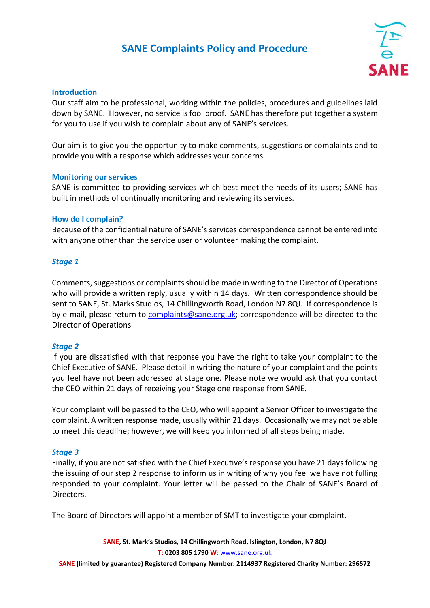# **SANE Complaints Policy and Procedure**



## **Introduction**

Our staff aim to be professional, working within the policies, procedures and guidelines laid down by SANE. However, no service is fool proof. SANE has therefore put together a system for you to use if you wish to complain about any of SANE's services.

Our aim is to give you the opportunity to make comments, suggestions or complaints and to provide you with a response which addresses your concerns.

## **Monitoring our services**

SANE is committed to providing services which best meet the needs of its users; SANE has built in methods of continually monitoring and reviewing its services.

## **How do I complain?**

Because of the confidential nature of SANE's services correspondence cannot be entered into with anyone other than the service user or volunteer making the complaint.

## *Stage 1*

Comments, suggestions or complaints should be made in writing to the Director of Operations who will provide a written reply, usually within 14 days. Written correspondence should be sent to SANE, St. Marks Studios, 14 Chillingworth Road, London N7 8QJ. If correspondence is by e-mail, please return to [complaints@sane.org.uk;](mailto:complaints@sane.org.uk) correspondence will be directed to the Director of Operations

## *Stage 2*

If you are dissatisfied with that response you have the right to take your complaint to the Chief Executive of SANE. Please detail in writing the nature of your complaint and the points you feel have not been addressed at stage one. Please note we would ask that you contact the CEO within 21 days of receiving your Stage one response from SANE.

Your complaint will be passed to the CEO, who will appoint a Senior Officer to investigate the complaint. A written response made, usually within 21 days. Occasionally we may not be able to meet this deadline; however, we will keep you informed of all steps being made.

## *Stage 3*

Finally, if you are not satisfied with the Chief Executive's response you have 21 days following the issuing of our step 2 response to inform us in writing of why you feel we have not fulling responded to your complaint. Your letter will be passed to the Chair of SANE's Board of Directors.

The Board of Directors will appoint a member of SMT to investigate your complaint.

**SANE, St. Mark's Studios, 14 Chillingworth Road, Islington, London, N7 8QJ T: 0203 805 1790 W:** [www.sane.org.uk](http://www.sane.org.uk/) **SANE (limited by guarantee) Registered Company Number: 2114937 Registered Charity Number: 296572**